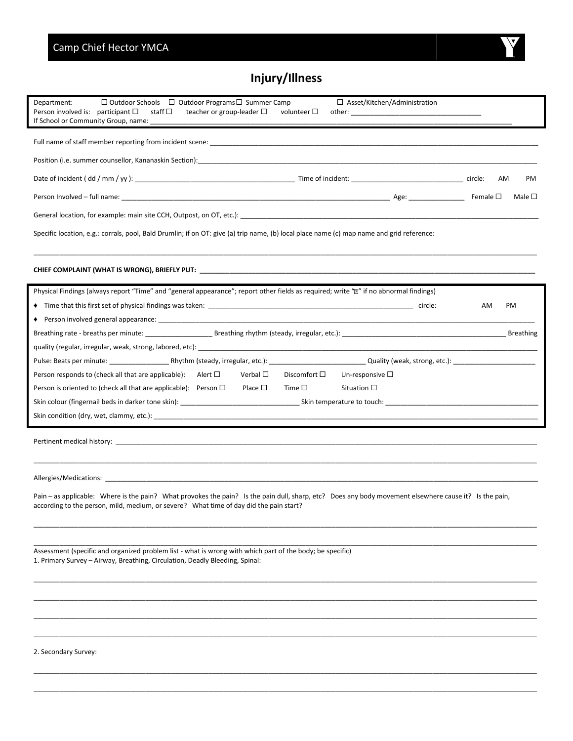## **Injury/Illness**

| $\Box$ Outdoor Schools $\Box$ Outdoor Programs $\Box$ Summer Camp<br>$\Box$ Asset/Kitchen/Administration<br>Department:<br>Person involved is: participant $\square$<br>staff □<br>teacher or group-leader $\Box$<br>volunteer $\square$<br>If School or Community Group, name: ______ |  |  |  |  |
|----------------------------------------------------------------------------------------------------------------------------------------------------------------------------------------------------------------------------------------------------------------------------------------|--|--|--|--|
|                                                                                                                                                                                                                                                                                        |  |  |  |  |
|                                                                                                                                                                                                                                                                                        |  |  |  |  |
| PM<br>AM                                                                                                                                                                                                                                                                               |  |  |  |  |
| Female $\square$<br>Male $\square$                                                                                                                                                                                                                                                     |  |  |  |  |
| General location, for example: main site CCH, Outpost, on OT, etc.): example and the control of the control of the control of the control of the control of the control of the control of the control of the control of the co                                                         |  |  |  |  |
| Specific location, e.g.: corrals, pool, Bald Drumlin; if on OT: give (a) trip name, (b) local place name (c) map name and grid reference:                                                                                                                                              |  |  |  |  |
|                                                                                                                                                                                                                                                                                        |  |  |  |  |
|                                                                                                                                                                                                                                                                                        |  |  |  |  |
| Physical Findings (always report "Time" and "general appearance"; report other fields as required; write "[2" if no abnormal findings)                                                                                                                                                 |  |  |  |  |
| AM<br>PM                                                                                                                                                                                                                                                                               |  |  |  |  |
|                                                                                                                                                                                                                                                                                        |  |  |  |  |
|                                                                                                                                                                                                                                                                                        |  |  |  |  |
|                                                                                                                                                                                                                                                                                        |  |  |  |  |
|                                                                                                                                                                                                                                                                                        |  |  |  |  |
| Verbal $\Box$<br>Person responds to (check all that are applicable): Alert $\Box$<br>Discomfort $\square$<br>Un-responsive $\square$                                                                                                                                                   |  |  |  |  |
| Person is oriented to (check all that are applicable): Person $\Box$<br>Place $\square$<br>Time $\square$<br>Situation $\square$                                                                                                                                                       |  |  |  |  |
|                                                                                                                                                                                                                                                                                        |  |  |  |  |
| Skin condition (dry, wet, clammy, etc.): example and contract the contract of the condition of the condition of the condition of the condition of the condition of the condition of the condition of the condition of the cond                                                         |  |  |  |  |
|                                                                                                                                                                                                                                                                                        |  |  |  |  |
|                                                                                                                                                                                                                                                                                        |  |  |  |  |
|                                                                                                                                                                                                                                                                                        |  |  |  |  |
|                                                                                                                                                                                                                                                                                        |  |  |  |  |
| Pain – as applicable: Where is the pain? What provokes the pain? Is the pain dull, sharp, etc? Does any body movement elsewhere cause it? Is the pain,<br>according to the person, mild, medium, or severe? What time of day did the pain start?                                       |  |  |  |  |
|                                                                                                                                                                                                                                                                                        |  |  |  |  |
| Assessment (specific and organized problem list - what is wrong with which part of the body; be specific)<br>1. Primary Survey - Airway, Breathing, Circulation, Deadly Bleeding, Spinal:                                                                                              |  |  |  |  |
|                                                                                                                                                                                                                                                                                        |  |  |  |  |
|                                                                                                                                                                                                                                                                                        |  |  |  |  |
|                                                                                                                                                                                                                                                                                        |  |  |  |  |
| 2. Secondary Survey:                                                                                                                                                                                                                                                                   |  |  |  |  |

\_\_\_\_\_\_\_\_\_\_\_\_\_\_\_\_\_\_\_\_\_\_\_\_\_\_\_\_\_\_\_\_\_\_\_\_\_\_\_\_\_\_\_\_\_\_\_\_\_\_\_\_\_\_\_\_\_\_\_\_\_\_\_\_\_\_\_\_\_\_\_\_\_\_\_\_\_\_\_\_\_\_\_\_\_\_\_\_\_\_\_\_\_\_\_\_\_\_\_\_\_\_\_\_\_\_\_\_\_\_\_\_\_\_\_\_\_\_\_\_\_\_\_\_\_\_\_\_\_\_\_\_\_\_\_ \_\_\_\_\_\_\_\_\_\_\_\_\_\_\_\_\_\_\_\_\_\_\_\_\_\_\_\_\_\_\_\_\_\_\_\_\_\_\_\_\_\_\_\_\_\_\_\_\_\_\_\_\_\_\_\_\_\_\_\_\_\_\_\_\_\_\_\_\_\_\_\_\_\_\_\_\_\_\_\_\_\_\_\_\_\_\_\_\_\_\_\_\_\_\_\_\_\_\_\_\_\_\_\_\_\_\_\_\_\_\_\_\_\_\_\_\_\_\_\_\_\_\_\_\_\_\_\_\_\_\_\_\_\_\_